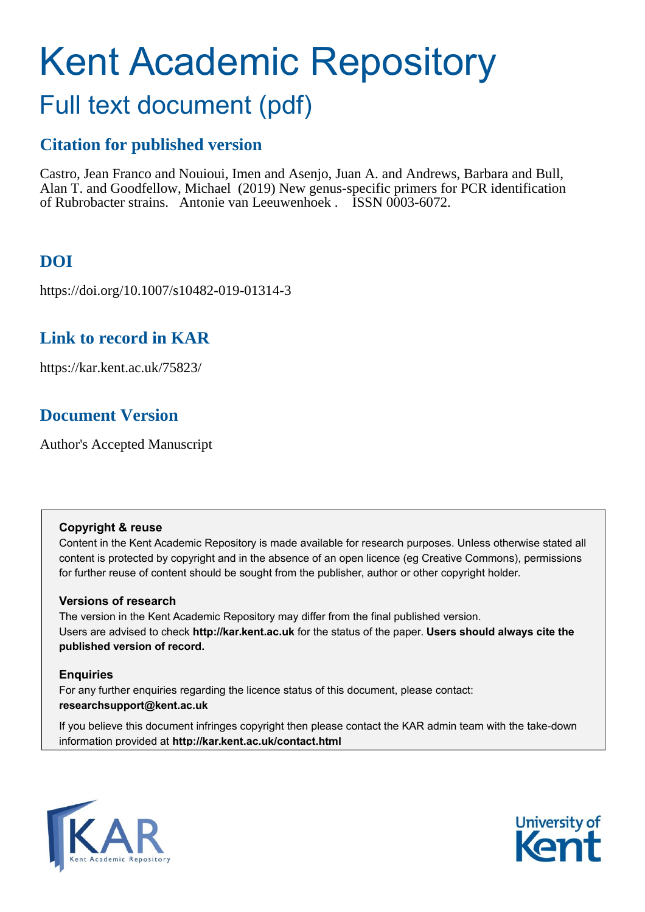# Kent Academic Repository

## Full text document (pdf)

## **Citation for published version**

Castro, Jean Franco and Nouioui, Imen and Asenjo, Juan A. and Andrews, Barbara and Bull, Alan T. and Goodfellow, Michael (2019) New genus-specific primers for PCR identification of Rubrobacter strains. Antonie van Leeuwenhoek . ISSN 0003-6072.

## **DOI**

https://doi.org/10.1007/s10482-019-01314-3

## **Link to record in KAR**

https://kar.kent.ac.uk/75823/

## **Document Version**

Author's Accepted Manuscript

## **Copyright & reuse**

Content in the Kent Academic Repository is made available for research purposes. Unless otherwise stated all content is protected by copyright and in the absence of an open licence (eg Creative Commons), permissions for further reuse of content should be sought from the publisher, author or other copyright holder.

## **Versions of research**

The version in the Kent Academic Repository may differ from the final published version. Users are advised to check **http://kar.kent.ac.uk** for the status of the paper. **Users should always cite the published version of record.**

## **Enquiries**

For any further enquiries regarding the licence status of this document, please contact: **researchsupport@kent.ac.uk**

If you believe this document infringes copyright then please contact the KAR admin team with the take-down information provided at **http://kar.kent.ac.uk/contact.html**



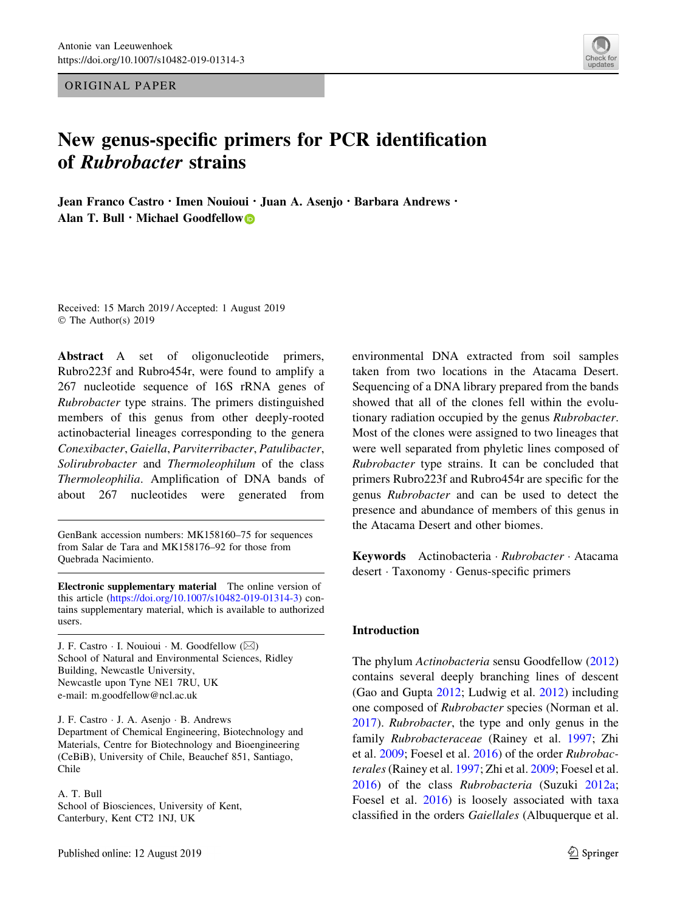ORIGINAL PAPER

## New genus-specific primers for PCR identification of Rubrobacter strains

Jean Franco Castro · Imen Nouioui · Juan A. Asenjo · Barbara Andrews · Alan T. Bull  $\cdot$  Michael Goodfellow

Received: 15 March 2019 / Accepted: 1 August 2019 © The Author(s) 2019

Abstract A set of oligonucleotide primers, Rubro223f and Rubro454r, were found to amplify a 267 nucleotide sequence of 16S rRNA genes of Rubrobacter type strains. The primers distinguished members of this genus from other deeply-rooted actinobacterial lineages corresponding to the genera Conexibacter, Gaiella, Parviterribacter, Patulibacter, Solirubrobacter and Thermoleophilum of the class Thermoleophilia. Amplification of DNA bands of about 267 nucleotides were generated from

GenBank accession numbers: MK158160–75 for sequences from Salar de Tara and MK158176–92 for those from Quebrada Nacimiento.

Electronic supplementary material The online version of this article [\(https://doi.org/10.1007/s10482-019-01314-3](https://doi.org/10.1007/s10482-019-01314-3)) contains supplementary material, which is available to authorized users.

J. F. Castro  $\cdot$  I. Nouioui  $\cdot$  M. Goodfellow ( $\boxtimes$ ) School of Natural and Environmental Sciences, Ridley Building, Newcastle University, Newcastle upon Tyne NE1 7RU, UK e-mail: m.goodfellow@ncl.ac.uk

J. F. Castro - J. A. Asenjo - B. Andrews Department of Chemical Engineering, Biotechnology and Materials, Centre for Biotechnology and Bioengineering (CeBiB), University of Chile, Beauchef 851, Santiago, Chile

A. T. Bull School of Biosciences, University of Kent, Canterbury, Kent CT2 1NJ, UK

environmental DNA extracted from soil samples taken from two locations in the Atacama Desert. Sequencing of a DNA library prepared from the bands showed that all of the clones fell within the evolutionary radiation occupied by the genus Rubrobacter. Most of the clones were assigned to two lineages that were well separated from phyletic lines composed of Rubrobacter type strains. It can be concluded that primers Rubro223f and Rubro454r are specific for the genus Rubrobacter and can be used to detect the presence and abundance of members of this genus in the Atacama Desert and other biomes.

Keywords Actinobacteria · Rubrobacter · Atacama desert - Taxonomy - Genus-specific primers

#### Introduction

The phylum Actinobacteria sensu Goodfellow (2012) contains several deeply branching lines of descent (Gao and Gupta 2012; Ludwig et al. 2012) including one composed of Rubrobacter species (Norman et al. 2017). Rubrobacter, the type and only genus in the family Rubrobacteraceae (Rainey et al. 1997; Zhi et al. 2009; Foesel et al. 2016) of the order Rubrobacterales(Rainey et al. 1997; Zhi et al. 2009; Foesel et al. 2016) of the class Rubrobacteria (Suzuki 2012a; Foesel et al. 2016) is loosely associated with taxa classified in the orders Gaiellales (Albuquerque et al.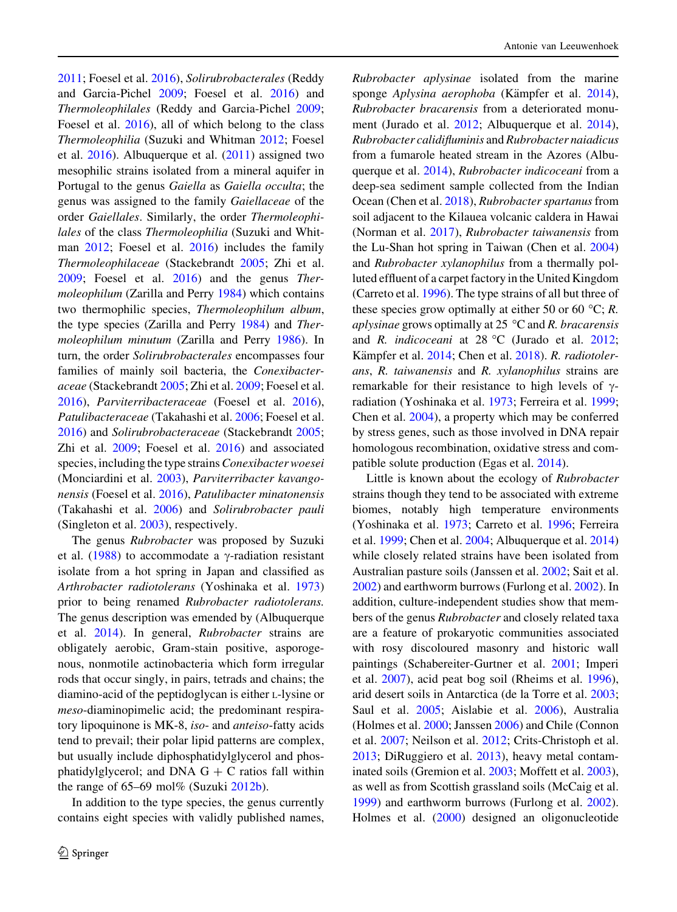2011; Foesel et al. 2016), Solirubrobacterales (Reddy and Garcia-Pichel 2009; Foesel et al. 2016) and Thermoleophilales (Reddy and Garcia-Pichel 2009; Foesel et al. 2016), all of which belong to the class Thermoleophilia (Suzuki and Whitman 2012; Foesel et al. 2016). Albuquerque et al. (2011) assigned two mesophilic strains isolated from a mineral aquifer in Portugal to the genus Gaiella as Gaiella occulta; the genus was assigned to the family Gaiellaceae of the order Gaiellales. Similarly, the order Thermoleophilales of the class Thermoleophilia (Suzuki and Whitman 2012; Foesel et al. 2016) includes the family Thermoleophilaceae (Stackebrandt 2005; Zhi et al. 2009; Foesel et al. 2016) and the genus Thermoleophilum (Zarilla and Perry 1984) which contains two thermophilic species, Thermoleophilum album, the type species (Zarilla and Perry 1984) and Thermoleophilum minutum (Zarilla and Perry 1986). In turn, the order Solirubrobacterales encompasses four families of mainly soil bacteria, the Conexibacteraceae (Stackebrandt 2005; Zhi et al. 2009; Foesel et al. 2016), Parviterribacteraceae (Foesel et al. 2016), Patulibacteraceae (Takahashi et al. 2006; Foesel et al. 2016) and Solirubrobacteraceae (Stackebrandt 2005; Zhi et al. 2009; Foesel et al. 2016) and associated species, including the type strains Conexibacter woesei (Monciardini et al. 2003), Parviterribacter kavangonensis (Foesel et al. 2016), Patulibacter minatonensis (Takahashi et al. 2006) and Solirubrobacter pauli (Singleton et al. 2003), respectively.

The genus *Rubrobacter* was proposed by Suzuki et al. (1988) to accommodate a  $\gamma$ -radiation resistant isolate from a hot spring in Japan and classified as Arthrobacter radiotolerans (Yoshinaka et al. 1973) prior to being renamed Rubrobacter radiotolerans. The genus description was emended by (Albuquerque et al. 2014). In general, Rubrobacter strains are obligately aerobic, Gram-stain positive, asporogenous, nonmotile actinobacteria which form irregular rods that occur singly, in pairs, tetrads and chains; the diamino-acid of the peptidoglycan is either L-lysine or meso-diaminopimelic acid; the predominant respiratory lipoquinone is MK-8, iso- and anteiso-fatty acids tend to prevail; their polar lipid patterns are complex, but usually include diphosphatidylglycerol and phosphatidylglycerol; and DNA  $G + C$  ratios fall within the range of  $65-69$  mol% (Suzuki  $2012b$ ).

In addition to the type species, the genus currently contains eight species with validly published names, Rubrobacter aplysinae isolated from the marine sponge Aplysina aerophoba (Kämpfer et al. 2014), Rubrobacter bracarensis from a deteriorated monument (Jurado et al. 2012; Albuquerque et al. 2014), Rubrobacter calidifluminis and Rubrobacter naiadicus from a fumarole heated stream in the Azores (Albuquerque et al. 2014), Rubrobacter indicoceani from a deep-sea sediment sample collected from the Indian Ocean (Chen et al. 2018), Rubrobacter spartanus from soil adjacent to the Kilauea volcanic caldera in Hawai (Norman et al. 2017), Rubrobacter taiwanensis from the Lu-Shan hot spring in Taiwan (Chen et al. 2004) and Rubrobacter xylanophilus from a thermally polluted effluent of a carpet factory in the United Kingdom (Carreto et al. 1996). The type strains of all but three of these species grow optimally at either 50 or 60 °C; R. aplysinae grows optimally at 25  $\degree$ C and R. bracarensis and R. indicoceani at  $28 °C$  (Jurado et al.  $2012$ ; Kämpfer et al. 2014; Chen et al. 2018). R. radiotolerans, R. taiwanensis and R. xylanophilus strains are remarkable for their resistance to high levels of  $\gamma$ radiation (Yoshinaka et al. 1973; Ferreira et al. 1999; Chen et al. 2004), a property which may be conferred by stress genes, such as those involved in DNA repair homologous recombination, oxidative stress and compatible solute production (Egas et al. 2014).

Little is known about the ecology of Rubrobacter strains though they tend to be associated with extreme biomes, notably high temperature environments (Yoshinaka et al. 1973; Carreto et al. 1996; Ferreira et al. 1999; Chen et al. 2004; Albuquerque et al. 2014) while closely related strains have been isolated from Australian pasture soils (Janssen et al. 2002; Sait et al. 2002) and earthworm burrows (Furlong et al. 2002). In addition, culture-independent studies show that members of the genus Rubrobacter and closely related taxa are a feature of prokaryotic communities associated with rosy discoloured masonry and historic wall paintings (Schabereiter-Gurtner et al. 2001; Imperi et al. 2007), acid peat bog soil (Rheims et al. 1996), arid desert soils in Antarctica (de la Torre et al. 2003; Saul et al. 2005; Aislabie et al. 2006), Australia (Holmes et al. 2000; Janssen 2006) and Chile (Connon et al. 2007; Neilson et al. 2012; Crits-Christoph et al. 2013; DiRuggiero et al. 2013), heavy metal contaminated soils (Gremion et al. 2003; Moffett et al. 2003), as well as from Scottish grassland soils (McCaig et al. 1999) and earthworm burrows (Furlong et al. 2002). Holmes et al. (2000) designed an oligonucleotide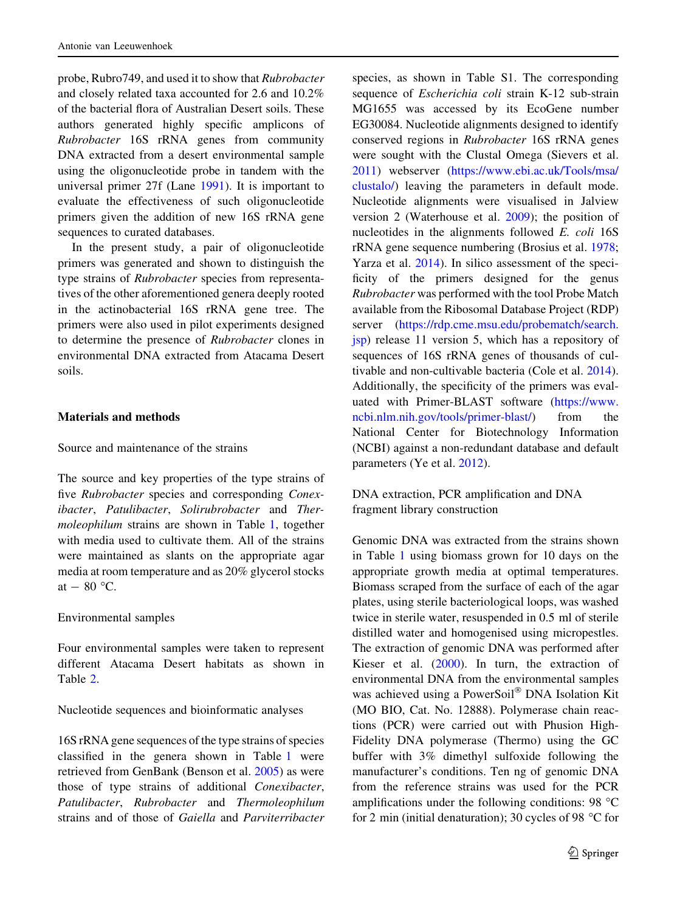probe, Rubro749, and used it to show that Rubrobacter and closely related taxa accounted for 2.6 and 10.2% of the bacterial flora of Australian Desert soils. These authors generated highly specific amplicons of Rubrobacter 16S rRNA genes from community DNA extracted from a desert environmental sample using the oligonucleotide probe in tandem with the universal primer 27f (Lane 1991). It is important to evaluate the effectiveness of such oligonucleotide primers given the addition of new 16S rRNA gene sequences to curated databases.

In the present study, a pair of oligonucleotide primers was generated and shown to distinguish the type strains of Rubrobacter species from representatives of the other aforementioned genera deeply rooted in the actinobacterial 16S rRNA gene tree. The primers were also used in pilot experiments designed to determine the presence of Rubrobacter clones in environmental DNA extracted from Atacama Desert soils.

### Materials and methods

Source and maintenance of the strains

The source and key properties of the type strains of five Rubrobacter species and corresponding Conexibacter, Patulibacter, Solirubrobacter and Thermoleophilum strains are shown in Table 1, together with media used to cultivate them. All of the strains were maintained as slants on the appropriate agar media at room temperature and as 20% glycerol stocks at  $-80$  °C.

Environmental samples

Four environmental samples were taken to represent different Atacama Desert habitats as shown in Table 2.

Nucleotide sequences and bioinformatic analyses

16S rRNA gene sequences of the type strains of species classified in the genera shown in Table 1 were retrieved from GenBank (Benson et al. 2005) as were those of type strains of additional Conexibacter, Patulibacter, Rubrobacter and Thermoleophilum strains and of those of Gaiella and Parviterribacter species, as shown in Table S1. The corresponding sequence of Escherichia coli strain K-12 sub-strain MG1655 was accessed by its EcoGene number EG30084. Nucleotide alignments designed to identify conserved regions in Rubrobacter 16S rRNA genes were sought with the Clustal Omega (Sievers et al. 2011) webserver ([https://www.ebi.ac.uk/Tools/msa/](https://www.ebi.ac.uk/Tools/msa/clustalo/) [clustalo/\)](https://www.ebi.ac.uk/Tools/msa/clustalo/) leaving the parameters in default mode. Nucleotide alignments were visualised in Jalview version 2 (Waterhouse et al. 2009); the position of nucleotides in the alignments followed E. coli 16S rRNA gene sequence numbering (Brosius et al. 1978; Yarza et al. 2014). In silico assessment of the specificity of the primers designed for the genus Rubrobacter was performed with the tool Probe Match available from the Ribosomal Database Project (RDP) server ([https://rdp.cme.msu.edu/probematch/search.](https://rdp.cme.msu.edu/probematch/search.jsp) [jsp\)](https://rdp.cme.msu.edu/probematch/search.jsp) release 11 version 5, which has a repository of sequences of 16S rRNA genes of thousands of cultivable and non-cultivable bacteria (Cole et al. 2014). Additionally, the specificity of the primers was evaluated with Primer-BLAST software [\(https://www.](https://www.ncbi.nlm.nih.gov/tools/primer-blast/) [ncbi.nlm.nih.gov/tools/primer-blast/\)](https://www.ncbi.nlm.nih.gov/tools/primer-blast/) from the National Center for Biotechnology Information (NCBI) against a non-redundant database and default parameters (Ye et al. 2012).

DNA extraction, PCR amplification and DNA fragment library construction

Genomic DNA was extracted from the strains shown in Table 1 using biomass grown for 10 days on the appropriate growth media at optimal temperatures. Biomass scraped from the surface of each of the agar plates, using sterile bacteriological loops, was washed twice in sterile water, resuspended in 0.5 ml of sterile distilled water and homogenised using micropestles. The extraction of genomic DNA was performed after Kieser et al. (2000). In turn, the extraction of environmental DNA from the environmental samples was achieved using a PowerSoil® DNA Isolation Kit (MO BIO, Cat. No. 12888). Polymerase chain reactions (PCR) were carried out with Phusion High-Fidelity DNA polymerase (Thermo) using the GC buffer with 3% dimethyl sulfoxide following the manufacturer's conditions. Ten ng of genomic DNA from the reference strains was used for the PCR amplifications under the following conditions: 98  $^{\circ}$ C for 2 min (initial denaturation); 30 cycles of 98  $\degree$ C for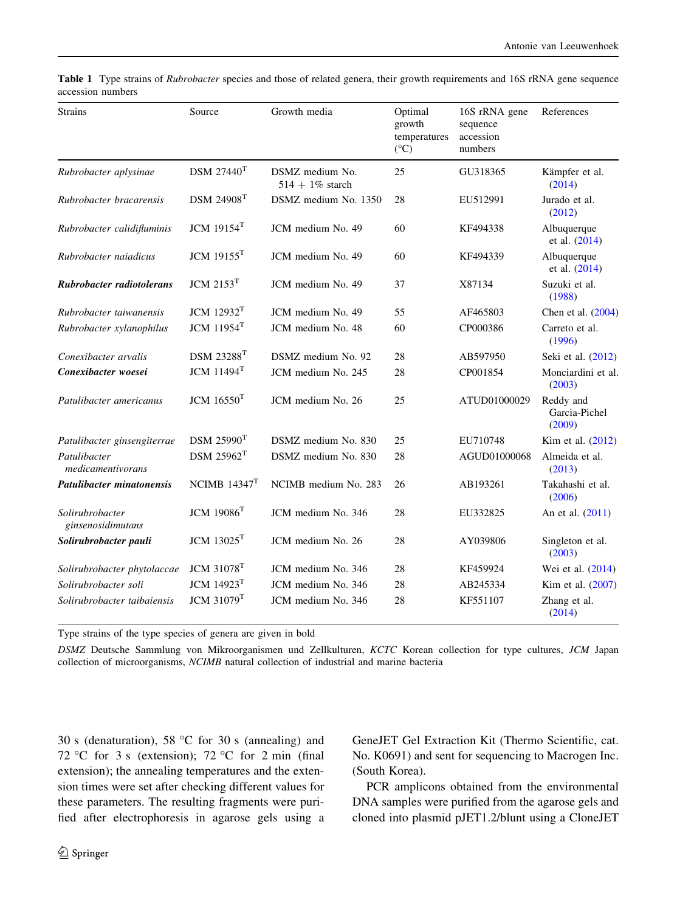| <b>Strains</b>                       | Source                        | Growth media                          | Optimal<br>growth<br>temperatures<br>$(^{\circ}C)$ | 16S rRNA gene<br>sequence<br>accession<br>numbers | References                           |
|--------------------------------------|-------------------------------|---------------------------------------|----------------------------------------------------|---------------------------------------------------|--------------------------------------|
| Rubrobacter aplysinae                | DSM 27440 <sup>T</sup>        | DSMZ medium No.<br>$514 + 1\%$ starch | 25                                                 | GU318365                                          | Kämpfer et al.<br>(2014)             |
| Rubrobacter bracarensis              | <b>DSM 24908<sup>T</sup></b>  | DSMZ medium No. 1350                  | 28                                                 | EU512991                                          | Jurado et al.<br>(2012)              |
| Rubrobacter calidifluminis           | JCM $19154$ <sup>T</sup>      | JCM medium No. 49                     | 60                                                 | KF494338                                          | Albuquerque<br>et al. (2014)         |
| Rubrobacter naiadicus                | JCM $19155$ <sup>T</sup>      | JCM medium No. 49                     | 60                                                 | KF494339                                          | Albuquerque<br>et al. (2014)         |
| Rubrobacter radiotolerans            | $JCM$ 2153 $T$                | JCM medium No. 49                     | 37                                                 | X87134                                            | Suzuki et al.<br>(1988)              |
| Rubrobacter taiwanensis              | <b>JCM</b> 12932 <sup>T</sup> | JCM medium No. 49                     | 55                                                 | AF465803                                          | Chen et al. (2004)                   |
| Rubrobacter xylanophilus             | <b>JCM</b> 11954 <sup>T</sup> | JCM medium No. 48                     | 60                                                 | CP000386                                          | Carreto et al.<br>(1996)             |
| Conexibacter arvalis                 | <b>DSM 23288<sup>T</sup></b>  | DSMZ medium No. 92                    | 28                                                 | AB597950                                          | Seki et al. (2012)                   |
| Conexibacter woesei                  | $JCM$ 11494 $T$               | JCM medium No. 245                    | 28                                                 | CP001854                                          | Monciardini et al.<br>(2003)         |
| Patulibacter americanus              | JCM 16550 <sup>T</sup>        | JCM medium No. 26                     | 25                                                 | ATUD01000029                                      | Reddy and<br>Garcia-Pichel<br>(2009) |
| Patulibacter ginsengiterrae          | $DSM$ 25990 <sup>T</sup>      | DSMZ medium No. 830                   | 25                                                 | EU710748                                          | Kim et al. (2012)                    |
| Patulibacter<br>medicamentivorans    | $DSM$ $25962$ <sup>T</sup>    | DSMZ medium No. 830                   | 28                                                 | AGUD01000068                                      | Almeida et al.<br>(2013)             |
| <b>Patulibacter minatonensis</b>     | NCIMB $14347$ <sup>T</sup>    | NCIMB medium No. 283                  | 26                                                 | AB193261                                          | Takahashi et al.<br>(2006)           |
| Solirubrobacter<br>ginsenosidimutans | $JCM$ 1908 $6T$               | JCM medium No. 346                    | 28                                                 | EU332825                                          | An et al. (2011)                     |
| Solirubrobacter pauli                | <b>JCM</b> 13025 <sup>T</sup> | JCM medium No. 26                     | 28                                                 | AY039806                                          | Singleton et al.<br>(2003)           |
| Solirubrobacter phytolaccae          | $JCM$ 31078 <sup>T</sup>      | JCM medium No. 346                    | 28                                                 | KF459924                                          | Wei et al. (2014)                    |
| Solirubrobacter soli                 | <b>JCM 14923<sup>T</sup></b>  | JCM medium No. 346                    | 28                                                 | AB245334                                          | Kim et al. (2007)                    |
| Solirubrobacter taibaiensis          | <b>JCM 31079T</b>             | JCM medium No. 346                    | 28                                                 | KF551107                                          | Zhang et al.<br>(2014)               |

Table 1 Type strains of Rubrobacter species and those of related genera, their growth requirements and 16S rRNA gene sequence accession numbers

Type strains of the type species of genera are given in bold

DSMZ Deutsche Sammlung von Mikroorganismen und Zellkulturen, KCTC Korean collection for type cultures, JCM Japan collection of microorganisms, NCIMB natural collection of industrial and marine bacteria

30 s (denaturation), 58 °C for 30 s (annealing) and 72 °C for 3 s (extension); 72 °C for 2 min (final extension); the annealing temperatures and the extension times were set after checking different values for these parameters. The resulting fragments were purified after electrophoresis in agarose gels using a GeneJET Gel Extraction Kit (Thermo Scientific, cat. No. K0691) and sent for sequencing to Macrogen Inc. (South Korea).

PCR amplicons obtained from the environmental DNA samples were purified from the agarose gels and cloned into plasmid pJET1.2/blunt using a CloneJET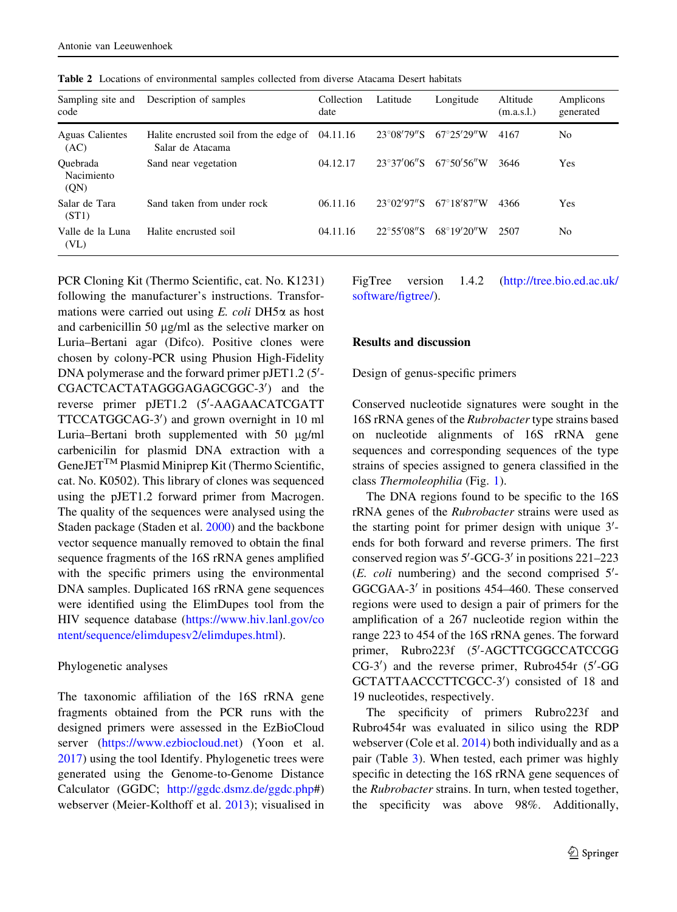| Sampling site and<br>code             | Description of samples                                     | Collection<br>date | Latitude             | Longitude             | Altitude<br>(m.a.s.l.) | Amplicons<br>generated |
|---------------------------------------|------------------------------------------------------------|--------------------|----------------------|-----------------------|------------------------|------------------------|
| <b>Aguas Calientes</b><br>(AC)        | Halite encrusted soil from the edge of<br>Salar de Atacama | 04.11.16           | $23^{\circ}08'79''S$ | $67^{\circ}25'29''W$  | 4167                   | No                     |
| Ouebrada<br>Nacimiento<br>(QN)        | Sand near vegetation                                       | 04.12.17           | $23^{\circ}37'06''S$ | $67^{\circ}50'56''$ W | 3646                   | Yes                    |
| Salar de Tara<br>(ST1)                | Sand taken from under rock                                 | 06.11.16           | 23°02'97"S           | $67^{\circ}18'87''$ W | 4366                   | Yes                    |
| Valle de la Luna<br>(V <sub>L</sub> ) | Halite encrusted soil                                      | 04.11.16           | $22^{\circ}55'08''S$ | $68^{\circ}19'20''$ W | 2507                   | No                     |

Table 2 Locations of environmental samples collected from diverse Atacama Desert habitats

PCR Cloning Kit (Thermo Scientific, cat. No. K1231) following the manufacturer's instructions. Transformations were carried out using  $E$ . coli DH5 $\alpha$  as host and carbenicillin 50  $\mu$ g/ml as the selective marker on Luria–Bertani agar (Difco). Positive clones were chosen by colony-PCR using Phusion High-Fidelity DNA polymerase and the forward primer pJET1.2 (5'-CGACTCACTATAGGGAGAGCGGC-3') and the reverse primer pJET1.2 (5'-AAGAACATCGATT TTCCATGGCAG-3') and grown overnight in 10 ml Luria–Bertani broth supplemented with 50 µg/ml carbenicilin for plasmid DNA extraction with a GeneJETTM Plasmid Miniprep Kit (Thermo Scientific, cat. No. K0502). This library of clones was sequenced using the pJET1.2 forward primer from Macrogen. The quality of the sequences were analysed using the Staden package (Staden et al. 2000) and the backbone vector sequence manually removed to obtain the final sequence fragments of the 16S rRNA genes amplified with the specific primers using the environmental DNA samples. Duplicated 16S rRNA gene sequences were identified using the ElimDupes tool from the HIV sequence database [\(https://www.hiv.lanl.gov/co](https://www.hiv.lanl.gov/content/sequence/elimdupesv2/elimdupes.html) [ntent/sequence/elimdupesv2/elimdupes.html](https://www.hiv.lanl.gov/content/sequence/elimdupesv2/elimdupes.html)).

## Phylogenetic analyses

The taxonomic affiliation of the 16S rRNA gene fragments obtained from the PCR runs with the designed primers were assessed in the EzBioCloud server [\(https://www.ezbiocloud.net\)](https://www.ezbiocloud.net) (Yoon et al. 2017) using the tool Identify. Phylogenetic trees were generated using the Genome-to-Genome Distance Calculator (GGDC; [http://ggdc.dsmz.de/ggdc.php#](http://ggdc.dsmz.de/ggdc.php)) webserver (Meier-Kolthoff et al. 2013); visualised in FigTree version 1.4.2 [\(http://tree.bio.ed.ac.uk/](http://tree.bio.ed.ac.uk/software/figtree/) [software/figtree/](http://tree.bio.ed.ac.uk/software/figtree/)).

## Results and discussion

#### Design of genus-specific primers

Conserved nucleotide signatures were sought in the 16S rRNA genes of the Rubrobacter type strains based on nucleotide alignments of 16S rRNA gene sequences and corresponding sequences of the type strains of species assigned to genera classified in the class Thermoleophilia (Fig. 1).

The DNA regions found to be specific to the 16S rRNA genes of the Rubrobacter strains were used as the starting point for primer design with unique  $3'$ ends for both forward and reverse primers. The first conserved region was  $5'$ -GCG-3' in positions 221-223  $(E. \; coli$  numbering) and the second comprised  $5'$ -GGCGAA-3' in positions 454–460. These conserved regions were used to design a pair of primers for the amplification of a 267 nucleotide region within the range 223 to 454 of the 16S rRNA genes. The forward primer, Rubro223f (5'-AGCTTCGGCCATCCGG CG-3') and the reverse primer, Rubro454r (5'-GG GCTATTAACCCTTCGCC-3') consisted of 18 and 19 nucleotides, respectively.

The specificity of primers Rubro223f and Rubro454r was evaluated in silico using the RDP webserver (Cole et al. 2014) both individually and as a pair (Table 3). When tested, each primer was highly specific in detecting the 16S rRNA gene sequences of the Rubrobacter strains. In turn, when tested together, the specificity was above 98%. Additionally,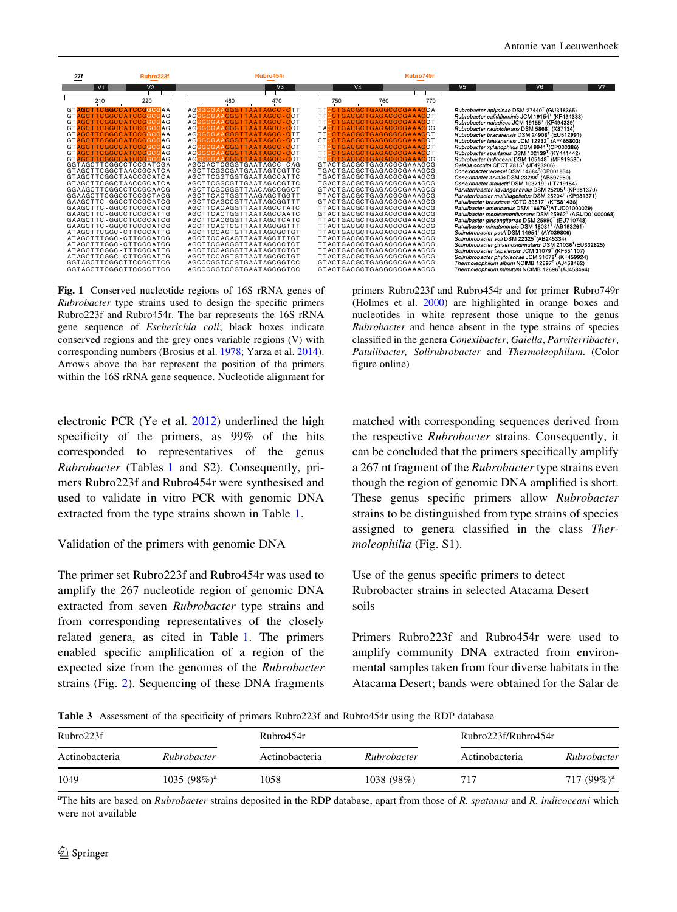

Fig. 1 Conserved nucleotide regions of 16S rRNA genes of Rubrobacter type strains used to design the specific primers Rubro223f and Rubro454r. The bar represents the 16S rRNA gene sequence of Escherichia coli; black boxes indicate conserved regions and the grey ones variable regions (V) with corresponding numbers (Brosius et al. 1978; Yarza et al. 2014). Arrows above the bar represent the position of the primers within the 16S rRNA gene sequence. Nucleotide alignment for

electronic PCR (Ye et al. 2012) underlined the high specificity of the primers, as 99% of the hits corresponded to representatives of the genus Rubrobacter (Tables 1 and S2). Consequently, primers Rubro223f and Rubro454r were synthesised and used to validate in vitro PCR with genomic DNA extracted from the type strains shown in Table 1.

#### Validation of the primers with genomic DNA

The primer set Rubro223f and Rubro454r was used to amplify the 267 nucleotide region of genomic DNA extracted from seven Rubrobacter type strains and from corresponding representatives of the closely related genera, as cited in Table 1. The primers enabled specific amplification of a region of the expected size from the genomes of the Rubrobacter strains (Fig. 2). Sequencing of these DNA fragments

primers Rubro223f and Rubro454r and for primer Rubro749r (Holmes et al. 2000) are highlighted in orange boxes and nucleotides in white represent those unique to the genus Rubrobacter and hence absent in the type strains of species classified in the genera Conexibacter, Gaiella, Parviterribacter, Patulibacter, Solirubrobacter and Thermoleophilum. (Color figure online)

matched with corresponding sequences derived from the respective Rubrobacter strains. Consequently, it can be concluded that the primers specifically amplify a 267 nt fragment of the Rubrobacter type strains even though the region of genomic DNA amplified is short. These genus specific primers allow Rubrobacter strains to be distinguished from type strains of species assigned to genera classified in the class Thermoleophilia (Fig. S1).

Use of the genus specific primers to detect Rubrobacter strains in selected Atacama Desert soils

Primers Rubro223f and Rubro454r were used to amplify community DNA extracted from environmental samples taken from four diverse habitats in the Atacama Desert; bands were obtained for the Salar de

Table 3 Assessment of the specificity of primers Rubro223f and Rubro454r using the RDP database

| Rubro223f      |                 | Rubro454r      |             |                | Rubro223f/Rubro454r |  |
|----------------|-----------------|----------------|-------------|----------------|---------------------|--|
| Actinobacteria | Rubrobacter     | Actinobacteria | Rubrobacter | Actinobacteria | Rubrobacter         |  |
| 1049           | 1035 $(98\%)^a$ | 1058           | 1038 (98%)  | 717            | 717 $(99\%)^a$      |  |

<sup>a</sup>The hits are based on *Rubrobacter* strains deposited in the RDP database, apart from those of R. spatanus and R. indicoceani which were not available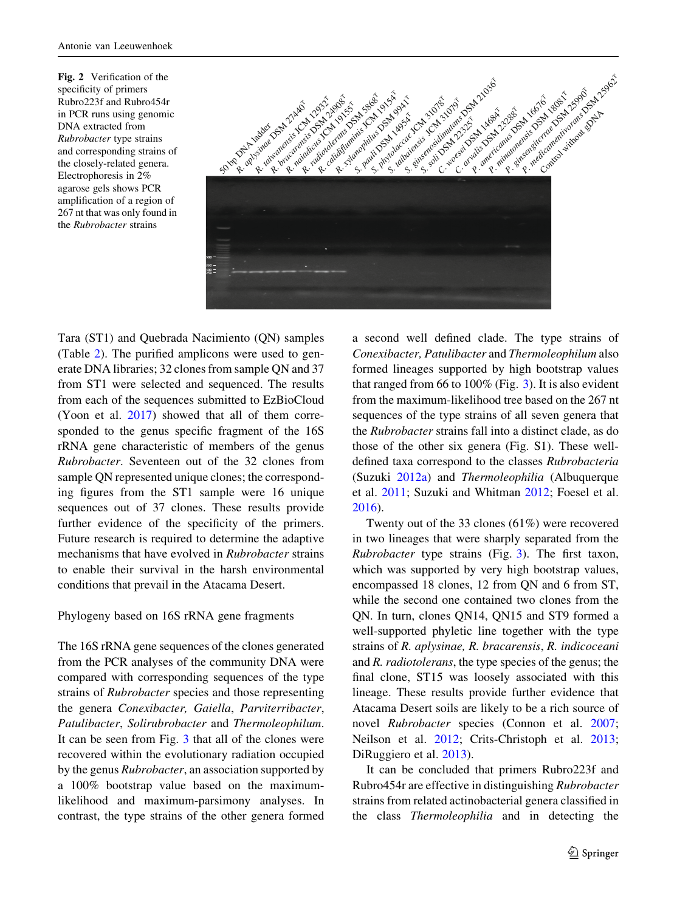Fig. 2 Verification of the specificity of primers Rubro223f and Rubro454r in PCR runs using genomic DNA extracted from Rubrobacter type strains and corresponding strains of the closely-related genera. Electrophoresis in 2% agarose gels shows PCR amplification of a region of 267 nt that was only found in the Rubrobacter strains



Tara (ST1) and Quebrada Nacimiento (QN) samples (Table 2). The purified amplicons were used to generate DNA libraries; 32 clones from sample QN and 37 from ST1 were selected and sequenced. The results from each of the sequences submitted to EzBioCloud (Yoon et al. 2017) showed that all of them corresponded to the genus specific fragment of the 16S rRNA gene characteristic of members of the genus Rubrobacter. Seventeen out of the 32 clones from sample QN represented unique clones; the corresponding figures from the ST1 sample were 16 unique sequences out of 37 clones. These results provide further evidence of the specificity of the primers. Future research is required to determine the adaptive mechanisms that have evolved in Rubrobacter strains to enable their survival in the harsh environmental conditions that prevail in the Atacama Desert.

## Phylogeny based on 16S rRNA gene fragments

The 16S rRNA gene sequences of the clones generated from the PCR analyses of the community DNA were compared with corresponding sequences of the type strains of Rubrobacter species and those representing the genera Conexibacter, Gaiella, Parviterribacter, Patulibacter, Solirubrobacter and Thermoleophilum. It can be seen from Fig. 3 that all of the clones were recovered within the evolutionary radiation occupied by the genus Rubrobacter, an association supported by a 100% bootstrap value based on the maximumlikelihood and maximum-parsimony analyses. In contrast, the type strains of the other genera formed

a second well defined clade. The type strains of Conexibacter, Patulibacter and Thermoleophilum also formed lineages supported by high bootstrap values that ranged from 66 to 100% (Fig. 3). It is also evident from the maximum-likelihood tree based on the 267 nt sequences of the type strains of all seven genera that the Rubrobacter strains fall into a distinct clade, as do those of the other six genera (Fig. S1). These welldefined taxa correspond to the classes Rubrobacteria (Suzuki 2012a) and Thermoleophilia (Albuquerque et al. 2011; Suzuki and Whitman 2012; Foesel et al. 2016).

Twenty out of the 33 clones (61%) were recovered in two lineages that were sharply separated from the Rubrobacter type strains (Fig. 3). The first taxon, which was supported by very high bootstrap values, encompassed 18 clones, 12 from QN and 6 from ST, while the second one contained two clones from the QN. In turn, clones QN14, QN15 and ST9 formed a well-supported phyletic line together with the type strains of R. aplysinae, R. bracarensis, R. indicoceani and R. radiotolerans, the type species of the genus; the final clone, ST15 was loosely associated with this lineage. These results provide further evidence that Atacama Desert soils are likely to be a rich source of novel Rubrobacter species (Connon et al. 2007; Neilson et al. 2012; Crits-Christoph et al. 2013; DiRuggiero et al. 2013).

It can be concluded that primers Rubro223f and Rubro454r are effective in distinguishing Rubrobacter strains from related actinobacterial genera classified in the class Thermoleophilia and in detecting the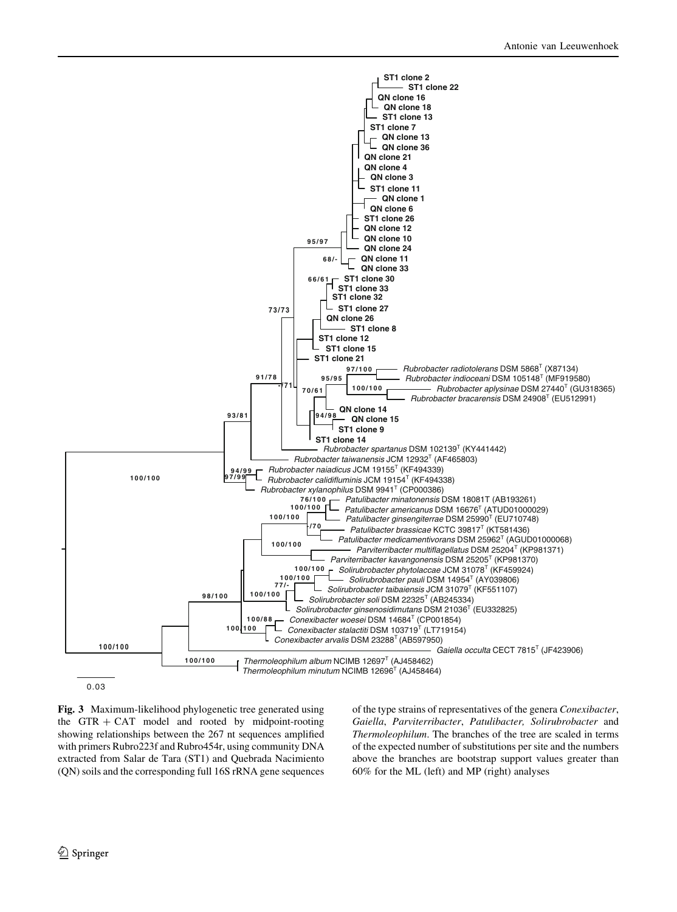

Fig. 3 Maximum-likelihood phylogenetic tree generated using the GTR  $+$  CAT model and rooted by midpoint-rooting showing relationships between the 267 nt sequences amplified with primers Rubro223f and Rubro454r, using community DNA extracted from Salar de Tara (ST1) and Quebrada Nacimiento (QN) soils and the corresponding full 16S rRNA gene sequences of the type strains of representatives of the genera Conexibacter, Gaiella, Parviterribacter, Patulibacter, Solirubrobacter and Thermoleophilum. The branches of the tree are scaled in terms of the expected number of substitutions per site and the numbers above the branches are bootstrap support values greater than 60% for the ML (left) and MP (right) analyses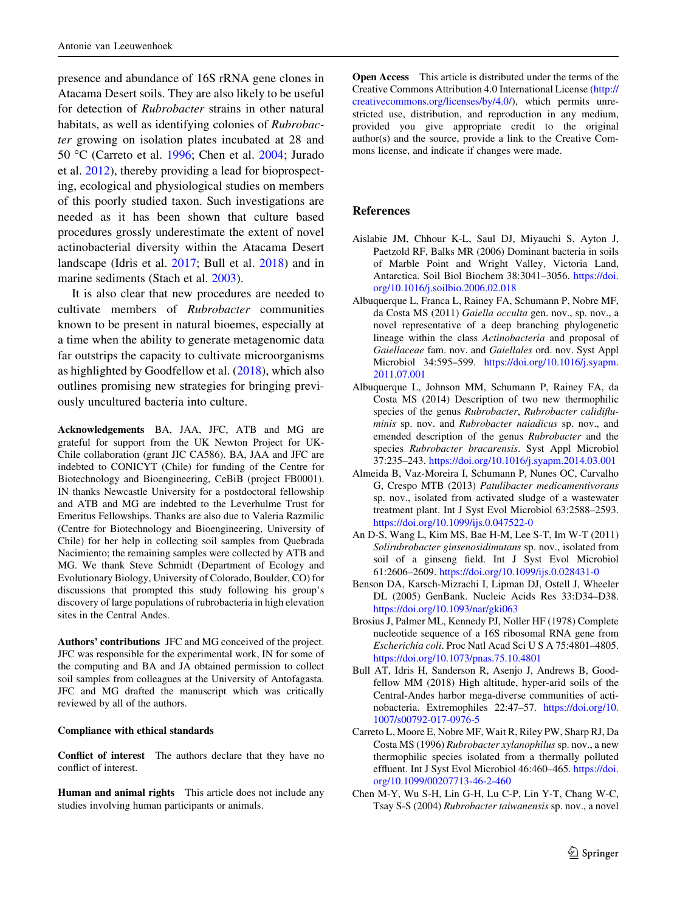presence and abundance of 16S rRNA gene clones in Atacama Desert soils. They are also likely to be useful for detection of Rubrobacter strains in other natural habitats, as well as identifying colonies of Rubrobacter growing on isolation plates incubated at 28 and 50 °C (Carreto et al. 1996; Chen et al. 2004; Jurado et al. 2012), thereby providing a lead for bioprospecting, ecological and physiological studies on members of this poorly studied taxon. Such investigations are needed as it has been shown that culture based procedures grossly underestimate the extent of novel actinobacterial diversity within the Atacama Desert landscape (Idris et al. 2017; Bull et al. 2018) and in marine sediments (Stach et al. 2003).

It is also clear that new procedures are needed to cultivate members of Rubrobacter communities known to be present in natural bioemes, especially at a time when the ability to generate metagenomic data far outstrips the capacity to cultivate microorganisms as highlighted by Goodfellow et al. (2018), which also outlines promising new strategies for bringing previously uncultured bacteria into culture.

Acknowledgements BA, JAA, JFC, ATB and MG are grateful for support from the UK Newton Project for UK-Chile collaboration (grant JIC CA586). BA, JAA and JFC are indebted to CONICYT (Chile) for funding of the Centre for Biotechnology and Bioengineering, CeBiB (project FB0001). IN thanks Newcastle University for a postdoctoral fellowship and ATB and MG are indebted to the Leverhulme Trust for Emeritus Fellowships. Thanks are also due to Valeria Razmilic (Centre for Biotechnology and Bioengineering, University of Chile) for her help in collecting soil samples from Quebrada Nacimiento; the remaining samples were collected by ATB and MG. We thank Steve Schmidt (Department of Ecology and Evolutionary Biology, University of Colorado, Boulder, CO) for discussions that prompted this study following his group's discovery of large populations of rubrobacteria in high elevation sites in the Central Andes.

Authors' contributions JFC and MG conceived of the project. JFC was responsible for the experimental work, IN for some of the computing and BA and JA obtained permission to collect soil samples from colleagues at the University of Antofagasta. JFC and MG drafted the manuscript which was critically reviewed by all of the authors.

#### Compliance with ethical standards

Conflict of interest The authors declare that they have no conflict of interest.

Human and animal rights This article does not include any studies involving human participants or animals.

Open Access This article is distributed under the terms of the Creative Commons Attribution 4.0 International License ([http://](http://creativecommons.org/licenses/by/4.0/) [creativecommons.org/licenses/by/4.0/\)](http://creativecommons.org/licenses/by/4.0/), which permits unrestricted use, distribution, and reproduction in any medium, provided you give appropriate credit to the original author(s) and the source, provide a link to the Creative Commons license, and indicate if changes were made.

### References

- Aislabie JM, Chhour K-L, Saul DJ, Miyauchi S, Ayton J, Paetzold RF, Balks MR (2006) Dominant bacteria in soils of Marble Point and Wright Valley, Victoria Land, Antarctica. Soil Biol Biochem 38:3041–3056. [https://doi.](https://doi.org/10.1016/j.soilbio.2006.02.018) [org/10.1016/j.soilbio.2006.02.018](https://doi.org/10.1016/j.soilbio.2006.02.018)
- Albuquerque L, Franca L, Rainey FA, Schumann P, Nobre MF, da Costa MS (2011) Gaiella occulta gen. nov., sp. nov., a novel representative of a deep branching phylogenetic lineage within the class Actinobacteria and proposal of Gaiellaceae fam. nov. and Gaiellales ord. nov. Syst Appl Microbiol 34:595–599. [https://doi.org/10.1016/j.syapm.](https://doi.org/10.1016/j.syapm.2011.07.001) [2011.07.001](https://doi.org/10.1016/j.syapm.2011.07.001)
- Albuquerque L, Johnson MM, Schumann P, Rainey FA, da Costa MS (2014) Description of two new thermophilic species of the genus Rubrobacter, Rubrobacter calidifluminis sp. nov. and Rubrobacter naiadicus sp. nov., and emended description of the genus Rubrobacter and the species Rubrobacter bracarensis. Syst Appl Microbiol 37:235–243. <https://doi.org/10.1016/j.syapm.2014.03.001>
- Almeida B, Vaz-Moreira I, Schumann P, Nunes OC, Carvalho G, Crespo MTB (2013) Patulibacter medicamentivorans sp. nov., isolated from activated sludge of a wastewater treatment plant. Int J Syst Evol Microbiol 63:2588–2593. <https://doi.org/10.1099/ijs.0.047522-0>
- An D-S, Wang L, Kim MS, Bae H-M, Lee S-T, Im W-T (2011) Solirubrobacter ginsenosidimutans sp. nov., isolated from soil of a ginseng field. Int J Syst Evol Microbiol 61:2606–2609. <https://doi.org/10.1099/ijs.0.028431-0>
- Benson DA, Karsch-Mizrachi I, Lipman DJ, Ostell J, Wheeler DL (2005) GenBank. Nucleic Acids Res 33:D34–D38. <https://doi.org/10.1093/nar/gki063>
- Brosius J, Palmer ML, Kennedy PJ, Noller HF (1978) Complete nucleotide sequence of a 16S ribosomal RNA gene from Escherichia coli. Proc Natl Acad Sci U S A 75:4801–4805. <https://doi.org/10.1073/pnas.75.10.4801>
- Bull AT, Idris H, Sanderson R, Asenjo J, Andrews B, Goodfellow MM (2018) High altitude, hyper-arid soils of the Central-Andes harbor mega-diverse communities of actinobacteria. Extremophiles 22:47–57. [https://doi.org/10.](https://doi.org/10.1007/s00792-017-0976-5) [1007/s00792-017-0976-5](https://doi.org/10.1007/s00792-017-0976-5)
- Carreto L, Moore E, Nobre MF, Wait R, Riley PW, Sharp RJ, Da Costa MS (1996) Rubrobacter xylanophilus sp. nov., a new thermophilic species isolated from a thermally polluted effluent. Int J Syst Evol Microbiol 46:460–465. [https://doi.](https://doi.org/10.1099/00207713-46-2-460) [org/10.1099/00207713-46-2-460](https://doi.org/10.1099/00207713-46-2-460)
- Chen M-Y, Wu S-H, Lin G-H, Lu C-P, Lin Y-T, Chang W-C, Tsay S-S (2004) Rubrobacter taiwanensis sp. nov., a novel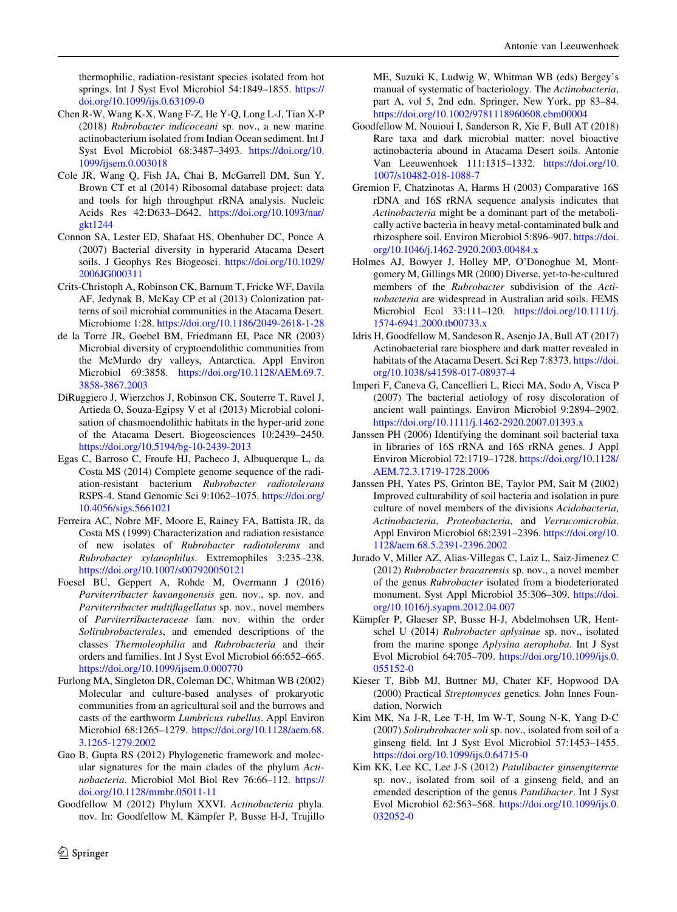thermophilic, radiation-resistant species isolated from hot springs. Int J Syst Evol Microbiol 54:1849–1855. [https://](https://doi.org/10.1099/ijs.0.63109-0) [doi.org/10.1099/ijs.0.63109-0](https://doi.org/10.1099/ijs.0.63109-0)

- Chen R-W, Wang K-X, Wang F-Z, He Y-Q, Long L-J, Tian X-P (2018) Rubrobacter indicoceani sp. nov., a new marine actinobacterium isolated from Indian Ocean sediment. Int J Syst Evol Microbiol 68:3487–3493. [https://doi.org/10.](https://doi.org/10.1099/ijsem.0.003018) [1099/ijsem.0.003018](https://doi.org/10.1099/ijsem.0.003018)
- Cole JR, Wang Q, Fish JA, Chai B, McGarrell DM, Sun Y, Brown CT et al (2014) Ribosomal database project: data and tools for high throughput rRNA analysis. Nucleic Acids Res 42:D633–D642. [https://doi.org/10.1093/nar/](https://doi.org/10.1093/nar/gkt1244) [gkt1244](https://doi.org/10.1093/nar/gkt1244)
- Connon SA, Lester ED, Shafaat HS, Obenhuber DC, Ponce A (2007) Bacterial diversity in hyperarid Atacama Desert soils. J Geophys Res Biogeosci. [https://doi.org/10.1029/](https://doi.org/10.1029/2006JG000311) [2006JG000311](https://doi.org/10.1029/2006JG000311)
- Crits-Christoph A, Robinson CK, Barnum T, Fricke WF, Davila AF, Jedynak B, McKay CP et al (2013) Colonization patterns of soil microbial communities in the Atacama Desert. Microbiome 1:28. <https://doi.org/10.1186/2049-2618-1-28>
- de la Torre JR, Goebel BM, Friedmann EI, Pace NR (2003) Microbial diversity of cryptoendolithic communities from the McMurdo dry valleys, Antarctica. Appl Environ Microbiol 69:3858. [https://doi.org/10.1128/AEM.69.7.](https://doi.org/10.1128/AEM.69.7.3858-3867.2003) [3858-3867.2003](https://doi.org/10.1128/AEM.69.7.3858-3867.2003)
- DiRuggiero J, Wierzchos J, Robinson CK, Souterre T, Ravel J, Artieda O, Souza-Egipsy V et al (2013) Microbial colonisation of chasmoendolithic habitats in the hyper-arid zone of the Atacama Desert. Biogeosciences 10:2439–2450. <https://doi.org/10.5194/bg-10-2439-2013>
- Egas C, Barroso C, Froufe HJ, Pacheco J, Albuquerque L, da Costa MS (2014) Complete genome sequence of the radiation-resistant bacterium Rubrobacter radiotolerans RSPS-4. Stand Genomic Sci 9:1062–1075. [https://doi.org/](https://doi.org/10.4056/sigs.5661021) [10.4056/sigs.5661021](https://doi.org/10.4056/sigs.5661021)
- Ferreira AC, Nobre MF, Moore E, Rainey FA, Battista JR, da Costa MS (1999) Characterization and radiation resistance of new isolates of Rubrobacter radiotolerans and Rubrobacter xylanophilus. Extremophiles 3:235–238. <https://doi.org/10.1007/s007920050121>
- Foesel BU, Geppert A, Rohde M, Overmann J (2016) Parviterribacter kavangonensis gen. nov., sp. nov. and Parviterribacter multiflagellatus sp. nov., novel members of Parviterribacteraceae fam. nov. within the order Solirubrobacterales, and emended descriptions of the classes Thermoleophilia and Rubrobacteria and their orders and families. Int J Syst Evol Microbiol 66:652–665. <https://doi.org/10.1099/ijsem.0.000770>
- Furlong MA, Singleton DR, Coleman DC, Whitman WB (2002) Molecular and culture-based analyses of prokaryotic communities from an agricultural soil and the burrows and casts of the earthworm Lumbricus rubellus. Appl Environ Microbiol 68:1265–1279. [https://doi.org/10.1128/aem.68.](https://doi.org/10.1128/aem.68.3.1265-1279.2002) [3.1265-1279.2002](https://doi.org/10.1128/aem.68.3.1265-1279.2002)
- Gao B, Gupta RS (2012) Phylogenetic framework and molecular signatures for the main clades of the phylum Actinobacteria. Microbiol Mol Biol Rev 76:66-112. [https://](https://doi.org/10.1128/mmbr.05011-11) [doi.org/10.1128/mmbr.05011-11](https://doi.org/10.1128/mmbr.05011-11)
- Goodfellow M (2012) Phylum XXVI. Actinobacteria phyla. nov. In: Goodfellow M, Kämpfer P, Busse H-J, Trujillo

ME, Suzuki K, Ludwig W, Whitman WB (eds) Bergey's manual of systematic of bacteriology. The Actinobacteria, part A, vol 5, 2nd edn. Springer, New York, pp 83–84. <https://doi.org/10.1002/9781118960608.cbm00004> Goodfellow M, Nouioui I, Sanderson R, Xie F, Bull AT (2018)

- Rare taxa and dark microbial matter: novel bioactive actinobacteria abound in Atacama Desert soils. Antonie Van Leeuwenhoek 111:1315–1332. [https://doi.org/10.](https://doi.org/10.1007/s10482-018-1088-7) [1007/s10482-018-1088-7](https://doi.org/10.1007/s10482-018-1088-7)
- Gremion F, Chatzinotas A, Harms H (2003) Comparative 16S rDNA and 16S rRNA sequence analysis indicates that Actinobacteria might be a dominant part of the metabolically active bacteria in heavy metal-contaminated bulk and rhizosphere soil. Environ Microbiol 5:896–907. [https://doi.](https://doi.org/10.1046/j.1462-2920.2003.00484.x) [org/10.1046/j.1462-2920.2003.00484.x](https://doi.org/10.1046/j.1462-2920.2003.00484.x)
- Holmes AJ, Bowyer J, Holley MP, O'Donoghue M, Montgomery M, Gillings MR (2000) Diverse, yet-to-be-cultured members of the Rubrobacter subdivision of the Actinobacteria are widespread in Australian arid soils. FEMS Microbiol Ecol 33:111–120. [https://doi.org/10.1111/j.](https://doi.org/10.1111/j.1574-6941.2000.tb00733.x) [1574-6941.2000.tb00733.x](https://doi.org/10.1111/j.1574-6941.2000.tb00733.x)
- Idris H, Goodfellow M, Sandeson R, Asenjo JA, Bull AT (2017) Actinobacterial rare biosphere and dark matter revealed in habitats of the Atacama Desert. Sci Rep 7:8373. [https://doi.](https://doi.org/10.1038/s41598-017-08937-4) [org/10.1038/s41598-017-08937-4](https://doi.org/10.1038/s41598-017-08937-4)
- Imperi F, Caneva G, Cancellieri L, Ricci MA, Sodo A, Visca P (2007) The bacterial aetiology of rosy discoloration of ancient wall paintings. Environ Microbiol 9:2894–2902. <https://doi.org/10.1111/j.1462-2920.2007.01393.x>
- Janssen PH (2006) Identifying the dominant soil bacterial taxa in libraries of 16S rRNA and 16S rRNA genes. J Appl Environ Microbiol 72:1719–1728. [https://doi.org/10.1128/](https://doi.org/10.1128/AEM.72.3.1719-1728.2006) [AEM.72.3.1719-1728.2006](https://doi.org/10.1128/AEM.72.3.1719-1728.2006)
- Janssen PH, Yates PS, Grinton BE, Taylor PM, Sait M (2002) Improved culturability of soil bacteria and isolation in pure culture of novel members of the divisions Acidobacteria, Actinobacteria, Proteobacteria, and Verrucomicrobia. Appl Environ Microbiol 68:2391–2396. [https://doi.org/10.](https://doi.org/10.1128/aem.68.5.2391-2396.2002) [1128/aem.68.5.2391-2396.2002](https://doi.org/10.1128/aem.68.5.2391-2396.2002)
- Jurado V, Miller AZ, Alias-Villegas C, Laiz L, Saiz-Jimenez C (2012) Rubrobacter bracarensis sp. nov., a novel member of the genus Rubrobacter isolated from a biodeteriorated monument. Syst Appl Microbiol 35:306–309. [https://doi.](https://doi.org/10.1016/j.syapm.2012.04.007) [org/10.1016/j.syapm.2012.04.007](https://doi.org/10.1016/j.syapm.2012.04.007)
- Kämpfer P, Glaeser SP, Busse H-J, Abdelmohsen UR, Hentschel U (2014) Rubrobacter aplysinae sp. nov., isolated from the marine sponge Aplysina aerophoba. Int J Syst Evol Microbiol 64:705–709. [https://doi.org/10.1099/ijs.0.](https://doi.org/10.1099/ijs.0.055152-0) [055152-0](https://doi.org/10.1099/ijs.0.055152-0)
- Kieser T, Bibb MJ, Buttner MJ, Chater KF, Hopwood DA (2000) Practical Streptomyces genetics. John Innes Foundation, Norwich
- Kim MK, Na J-R, Lee T-H, Im W-T, Soung N-K, Yang D-C (2007) Solirubrobacter soli sp. nov., isolated from soil of a ginseng field. Int J Syst Evol Microbiol 57:1453–1455. <https://doi.org/10.1099/ijs.0.64715-0>
- Kim KK, Lee KC, Lee J-S (2012) Patulibacter ginsengiterrae sp. nov., isolated from soil of a ginseng field, and an emended description of the genus Patulibacter. Int J Syst Evol Microbiol 62:563–568. [https://doi.org/10.1099/ijs.0.](https://doi.org/10.1099/ijs.0.032052-0) [032052-0](https://doi.org/10.1099/ijs.0.032052-0)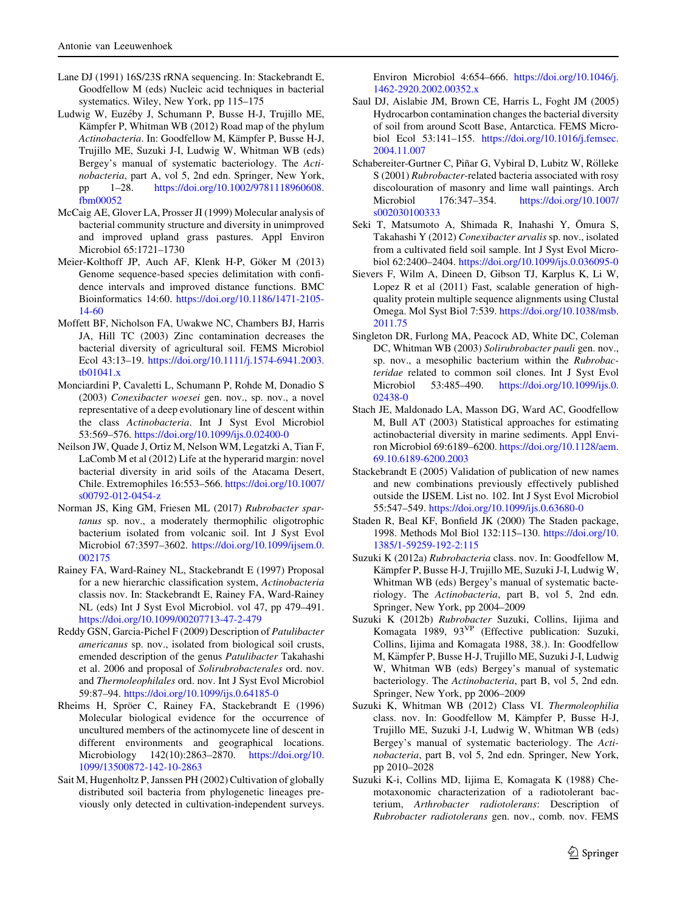- Lane DJ (1991) 16S/23S rRNA sequencing. In: Stackebrandt E, Goodfellow M (eds) Nucleic acid techniques in bacterial systematics. Wiley, New York, pp 115–175
- Ludwig W, Euzéby J, Schumann P, Busse H-J, Trujillo ME, Kämpfer P, Whitman WB (2012) Road map of the phylum Actinobacteria. In: Goodfellow M, Kämpfer P, Busse H-J, Trujillo ME, Suzuki J-I, Ludwig W, Whitman WB (eds) Bergey's manual of systematic bacteriology. The Actinobacteria, part A, vol 5, 2nd edn. Springer, New York, pp 1–28. [https://doi.org/10.1002/9781118960608.](https://doi.org/10.1002/9781118960608.fbm00052) [fbm00052](https://doi.org/10.1002/9781118960608.fbm00052)
- McCaig AE, Glover LA, Prosser JI (1999) Molecular analysis of bacterial community structure and diversity in unimproved and improved upland grass pastures. Appl Environ Microbiol 65:1721–1730
- Meier-Kolthoff JP, Auch AF, Klenk H-P, Göker M (2013) Genome sequence-based species delimitation with confidence intervals and improved distance functions. BMC Bioinformatics 14:60. [https://doi.org/10.1186/1471-2105-](https://doi.org/10.1186/1471-2105-14-60) [14-60](https://doi.org/10.1186/1471-2105-14-60)
- Moffett BF, Nicholson FA, Uwakwe NC, Chambers BJ, Harris JA, Hill TC (2003) Zinc contamination decreases the bacterial diversity of agricultural soil. FEMS Microbiol Ecol 43:13–19. [https://doi.org/10.1111/j.1574-6941.2003.](https://doi.org/10.1111/j.1574-6941.2003.tb01041.x) [tb01041.x](https://doi.org/10.1111/j.1574-6941.2003.tb01041.x)
- Monciardini P, Cavaletti L, Schumann P, Rohde M, Donadio S (2003) Conexibacter woesei gen. nov., sp. nov., a novel representative of a deep evolutionary line of descent within the class Actinobacteria. Int J Syst Evol Microbiol 53:569–576. <https://doi.org/10.1099/ijs.0.02400-0>
- Neilson JW, Quade J, Ortiz M, Nelson WM, Legatzki A, Tian F, LaComb M et al (2012) Life at the hyperarid margin: novel bacterial diversity in arid soils of the Atacama Desert, Chile. Extremophiles 16:553–566. [https://doi.org/10.1007/](https://doi.org/10.1007/s00792-012-0454-z) [s00792-012-0454-z](https://doi.org/10.1007/s00792-012-0454-z)
- Norman JS, King GM, Friesen ML (2017) Rubrobacter spartanus sp. nov., a moderately thermophilic oligotrophic bacterium isolated from volcanic soil. Int J Syst Evol Microbiol 67:3597–3602. [https://doi.org/10.1099/ijsem.0.](https://doi.org/10.1099/ijsem.0.002175) [002175](https://doi.org/10.1099/ijsem.0.002175)
- Rainey FA, Ward-Rainey NL, Stackebrandt E (1997) Proposal for a new hierarchic classification system, Actinobacteria classis nov. In: Stackebrandt E, Rainey FA, Ward-Rainey NL (eds) Int J Syst Evol Microbiol. vol 47, pp 479–491. <https://doi.org/10.1099/00207713-47-2-479>
- Reddy GSN, Garcia-Pichel F (2009) Description of Patulibacter americanus sp. nov., isolated from biological soil crusts, emended description of the genus Patulibacter Takahashi et al. 2006 and proposal of Solirubrobacterales ord. nov. and Thermoleophilales ord. nov. Int J Syst Evol Microbiol 59:87–94. <https://doi.org/10.1099/ijs.0.64185-0>
- Rheims H, Spröer C, Rainey FA, Stackebrandt E (1996) Molecular biological evidence for the occurrence of uncultured members of the actinomycete line of descent in different environments and geographical locations. Microbiology 142(10):2863–2870. [https://doi.org/10.](https://doi.org/10.1099/13500872-142-10-2863) [1099/13500872-142-10-2863](https://doi.org/10.1099/13500872-142-10-2863)
- Sait M, Hugenholtz P, Janssen PH (2002) Cultivation of globally distributed soil bacteria from phylogenetic lineages previously only detected in cultivation-independent surveys.

Environ Microbiol 4:654–666. [https://doi.org/10.1046/j.](https://doi.org/10.1046/j.1462-2920.2002.00352.x) [1462-2920.2002.00352.x](https://doi.org/10.1046/j.1462-2920.2002.00352.x)

- Saul DJ, Aislabie JM, Brown CE, Harris L, Foght JM (2005) Hydrocarbon contamination changes the bacterial diversity of soil from around Scott Base, Antarctica. FEMS Microbiol Ecol 53:141–155. [https://doi.org/10.1016/j.femsec.](https://doi.org/10.1016/j.femsec.2004.11.007) [2004.11.007](https://doi.org/10.1016/j.femsec.2004.11.007)
- Schabereiter-Gurtner C, Piñar G, Vybiral D, Lubitz W, Rölleke S (2001) Rubrobacter-related bacteria associated with rosy discolouration of masonry and lime wall paintings. Arch<br>Microbiol 176:347-354. https://doi.org/10.1007/ Microbiol 176:347–354. [https://doi.org/10.1007/](https://doi.org/10.1007/s002030100333) [s002030100333](https://doi.org/10.1007/s002030100333)
- Seki T, Matsumoto A, Shimada R, Inahashi Y, Ōmura S, Takahashi Y (2012) Conexibacter arvalis sp. nov., isolated from a cultivated field soil sample. Int J Syst Evol Microbiol 62:2400–2404. <https://doi.org/10.1099/ijs.0.036095-0>
- Sievers F, Wilm A, Dineen D, Gibson TJ, Karplus K, Li W, Lopez R et al (2011) Fast, scalable generation of highquality protein multiple sequence alignments using Clustal Omega. Mol Syst Biol 7:539. [https://doi.org/10.1038/msb.](https://doi.org/10.1038/msb.2011.75) [2011.75](https://doi.org/10.1038/msb.2011.75)
- Singleton DR, Furlong MA, Peacock AD, White DC, Coleman DC, Whitman WB (2003) Solirubrobacter pauli gen. nov., sp. nov., a mesophilic bacterium within the Rubrobacteridae related to common soil clones. Int J Syst Evol Microbiol 53:485–490. [https://doi.org/10.1099/ijs.0.](https://doi.org/10.1099/ijs.0.02438-0) [02438-0](https://doi.org/10.1099/ijs.0.02438-0)
- Stach JE, Maldonado LA, Masson DG, Ward AC, Goodfellow M, Bull AT (2003) Statistical approaches for estimating actinobacterial diversity in marine sediments. Appl Environ Microbiol 69:6189–6200. [https://doi.org/10.1128/aem.](https://doi.org/10.1128/aem.69.10.6189-6200.2003) [69.10.6189-6200.2003](https://doi.org/10.1128/aem.69.10.6189-6200.2003)
- Stackebrandt E (2005) Validation of publication of new names and new combinations previously effectively published outside the IJSEM. List no. 102. Int J Syst Evol Microbiol 55:547–549. <https://doi.org/10.1099/ijs.0.63680-0>
- Staden R, Beal KF, Bonfield JK (2000) The Staden package, 1998. Methods Mol Biol 132:115–130. [https://doi.org/10.](https://doi.org/10.1385/1-59259-192-2:115) [1385/1-59259-192-2:115](https://doi.org/10.1385/1-59259-192-2:115)
- Suzuki K (2012a) Rubrobacteria class. nov. In: Goodfellow M, Kämpfer P, Busse H-J, Trujillo ME, Suzuki J-I, Ludwig W, Whitman WB (eds) Bergey's manual of systematic bacteriology. The Actinobacteria, part B, vol 5, 2nd edn. Springer, New York, pp 2004–2009
- Suzuki K (2012b) Rubrobacter Suzuki, Collins, Iijima and Komagata 1989, 93VP (Effective publication: Suzuki, Collins, Iijima and Komagata 1988, 38.). In: Goodfellow M, Kämpfer P, Busse H-J, Trujillo ME, Suzuki J-I, Ludwig W, Whitman WB (eds) Bergey's manual of systematic bacteriology. The Actinobacteria, part B, vol 5, 2nd edn. Springer, New York, pp 2006–2009
- Suzuki K, Whitman WB (2012) Class VI. Thermoleophilia class. nov. In: Goodfellow M, Kämpfer P, Busse H-J, Trujillo ME, Suzuki J-I, Ludwig W, Whitman WB (eds) Bergey's manual of systematic bacteriology. The Actinobacteria, part B, vol 5, 2nd edn. Springer, New York, pp 2010–2028
- Suzuki K-i, Collins MD, Iijima E, Komagata K (1988) Chemotaxonomic characterization of a radiotolerant bacterium, Arthrobacter radiotolerans: Description of Rubrobacter radiotolerans gen. nov., comb. nov. FEMS